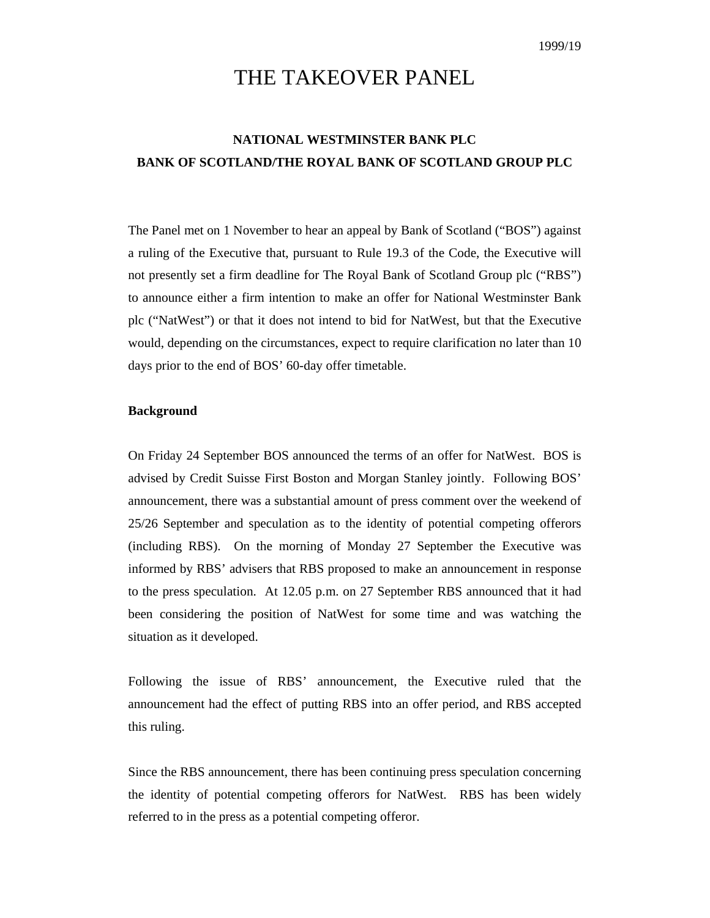# THE TAKEOVER PANEL

# **NATIONAL WESTMINSTER BANK PLC BANK OF SCOTLAND/THE ROYAL BANK OF SCOTLAND GROUP PLC**

The Panel met on 1 November to hear an appeal by Bank of Scotland ("BOS") against a ruling of the Executive that, pursuant to Rule 19.3 of the Code, the Executive will not presently set a firm deadline for The Royal Bank of Scotland Group plc ("RBS") to announce either a firm intention to make an offer for National Westminster Bank plc ("NatWest") or that it does not intend to bid for NatWest, but that the Executive would, depending on the circumstances, expect to require clarification no later than 10 days prior to the end of BOS' 60-day offer timetable.

# **Background**

On Friday 24 September BOS announced the terms of an offer for NatWest. BOS is advised by Credit Suisse First Boston and Morgan Stanley jointly. Following BOS' announcement, there was a substantial amount of press comment over the weekend of 25/26 September and speculation as to the identity of potential competing offerors (including RBS). On the morning of Monday 27 September the Executive was informed by RBS' advisers that RBS proposed to make an announcement in response to the press speculation. At 12.05 p.m. on 27 September RBS announced that it had been considering the position of NatWest for some time and was watching the situation as it developed.

Following the issue of RBS' announcement, the Executive ruled that the announcement had the effect of putting RBS into an offer period, and RBS accepted this ruling.

Since the RBS announcement, there has been continuing press speculation concerning the identity of potential competing offerors for NatWest. RBS has been widely referred to in the press as a potential competing offeror.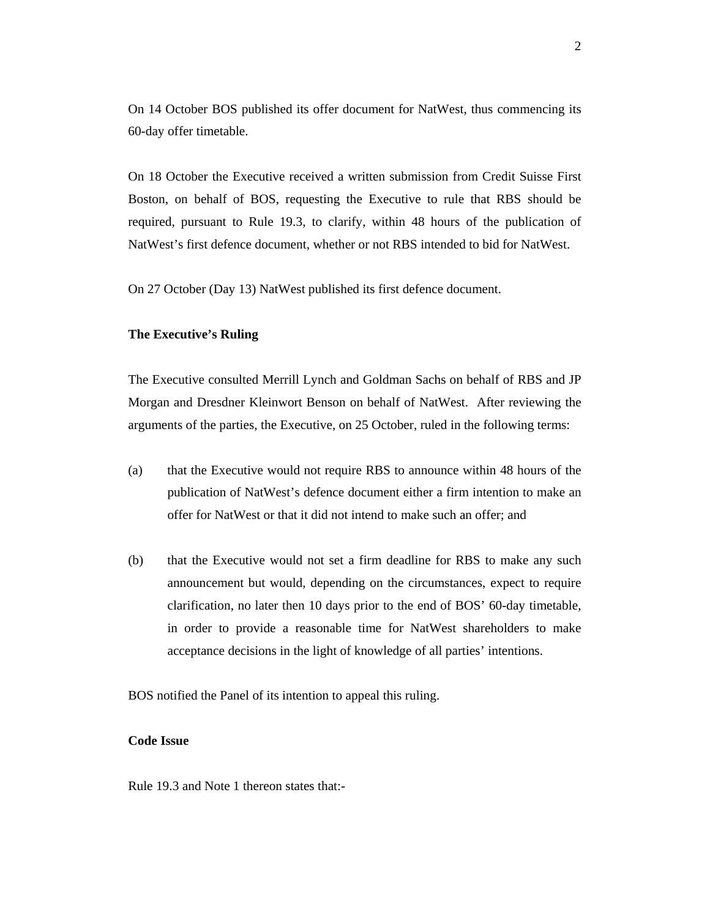On 14 October BOS published its offer document for NatWest, thus commencing its 60-day offer timetable.

On 18 October the Executive received a written submission from Credit Suisse First Boston, on behalf of BOS, requesting the Executive to rule that RBS should be required, pursuant to Rule 19.3, to clarify, within 48 hours of the publication of NatWest's first defence document, whether or not RBS intended to bid for NatWest.

On 27 October (Day 13) NatWest published its first defence document.

# **The Executive's Ruling**

The Executive consulted Merrill Lynch and Goldman Sachs on behalf of RBS and JP Morgan and Dresdner Kleinwort Benson on behalf of NatWest. After reviewing the arguments of the parties, the Executive, on 25 October, ruled in the following terms:

- (a) that the Executive would not require RBS to announce within 48 hours of the publication of NatWest's defence document either a firm intention to make an offer for NatWest or that it did not intend to make such an offer; and
- (b) that the Executive would not set a firm deadline for RBS to make any such announcement but would, depending on the circumstances, expect to require clarification, no later then 10 days prior to the end of BOS' 60-day timetable, in order to provide a reasonable time for NatWest shareholders to make acceptance decisions in the light of knowledge of all parties' intentions.

BOS notified the Panel of its intention to appeal this ruling.

# **Code Issue**

Rule 19.3 and Note 1 thereon states that:-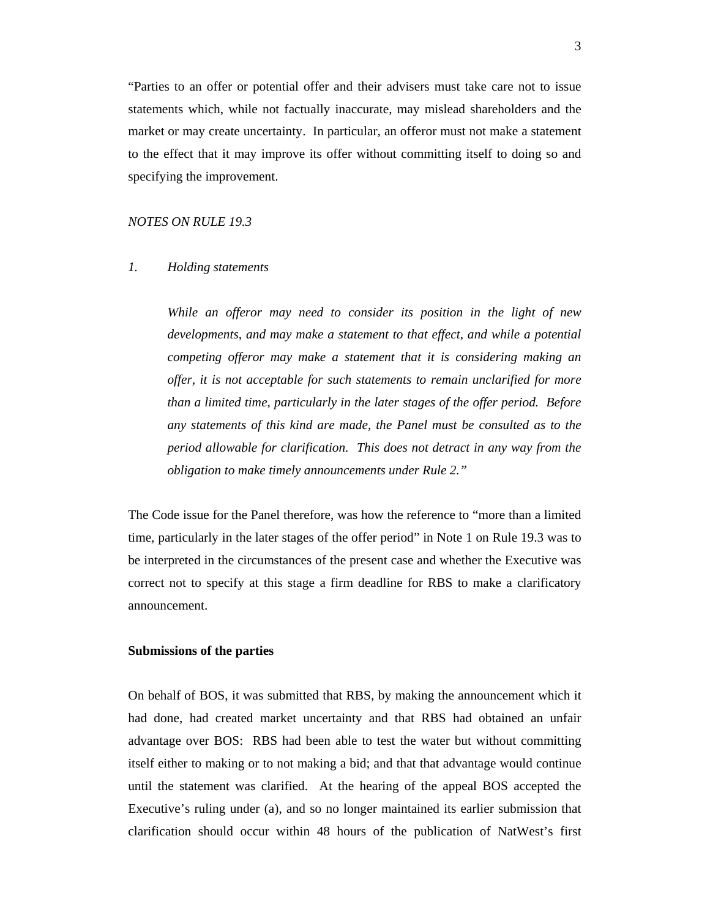"Parties to an offer or potential offer and their advisers must take care not to issue statements which, while not factually inaccurate, may mislead shareholders and the market or may create uncertainty. In particular, an offeror must not make a statement to the effect that it may improve its offer without committing itself to doing so and specifying the improvement.

#### *NOTES ON RULE 19.3*

# *1. Holding statements*

 *While an offeror may need to consider its position in the light of new developments, and may make a statement to that effect, and while a potential competing offeror may make a statement that it is considering making an offer, it is not acceptable for such statements to remain unclarified for more than a limited time, particularly in the later stages of the offer period. Before any statements of this kind are made, the Panel must be consulted as to the period allowable for clarification. This does not detract in any way from the obligation to make timely announcements under Rule 2."* 

The Code issue for the Panel therefore, was how the reference to "more than a limited time, particularly in the later stages of the offer period" in Note 1 on Rule 19.3 was to be interpreted in the circumstances of the present case and whether the Executive was correct not to specify at this stage a firm deadline for RBS to make a clarificatory announcement.

## **Submissions of the parties**

On behalf of BOS, it was submitted that RBS, by making the announcement which it had done, had created market uncertainty and that RBS had obtained an unfair advantage over BOS: RBS had been able to test the water but without committing itself either to making or to not making a bid; and that that advantage would continue until the statement was clarified. At the hearing of the appeal BOS accepted the Executive's ruling under (a), and so no longer maintained its earlier submission that clarification should occur within 48 hours of the publication of NatWest's first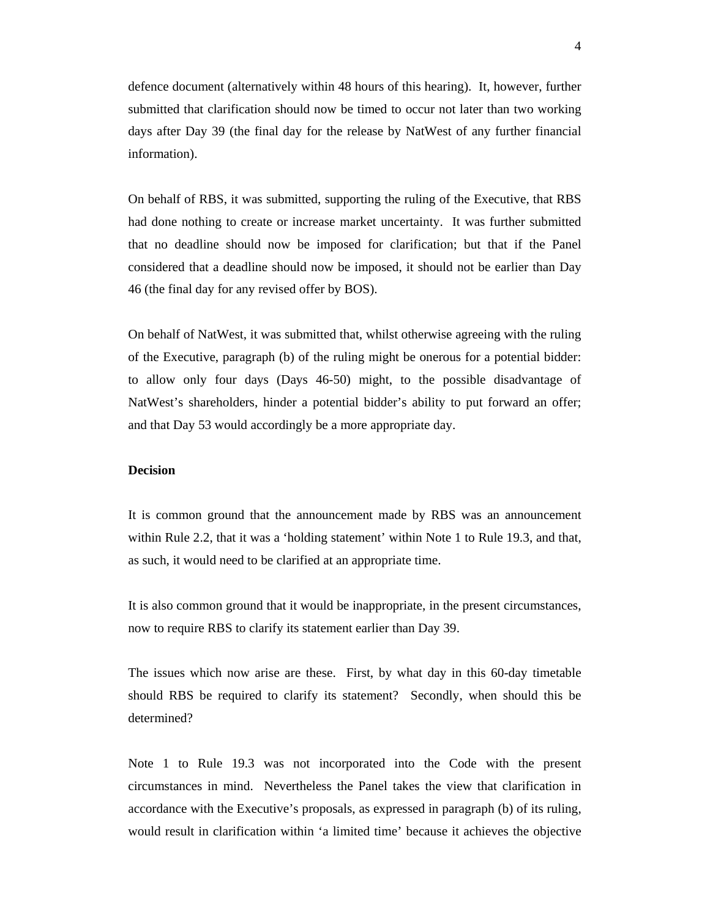defence document (alternatively within 48 hours of this hearing). It, however, further submitted that clarification should now be timed to occur not later than two working days after Day 39 (the final day for the release by NatWest of any further financial information).

On behalf of RBS, it was submitted, supporting the ruling of the Executive, that RBS had done nothing to create or increase market uncertainty. It was further submitted that no deadline should now be imposed for clarification; but that if the Panel considered that a deadline should now be imposed, it should not be earlier than Day 46 (the final day for any revised offer by BOS).

On behalf of NatWest, it was submitted that, whilst otherwise agreeing with the ruling of the Executive, paragraph (b) of the ruling might be onerous for a potential bidder: to allow only four days (Days 46-50) might, to the possible disadvantage of NatWest's shareholders, hinder a potential bidder's ability to put forward an offer; and that Day 53 would accordingly be a more appropriate day.

# **Decision**

It is common ground that the announcement made by RBS was an announcement within Rule 2.2, that it was a 'holding statement' within Note 1 to Rule 19.3, and that, as such, it would need to be clarified at an appropriate time.

It is also common ground that it would be inappropriate, in the present circumstances, now to require RBS to clarify its statement earlier than Day 39.

The issues which now arise are these. First, by what day in this 60-day timetable should RBS be required to clarify its statement? Secondly, when should this be determined?

Note 1 to Rule 19.3 was not incorporated into the Code with the present circumstances in mind. Nevertheless the Panel takes the view that clarification in accordance with the Executive's proposals, as expressed in paragraph (b) of its ruling, would result in clarification within 'a limited time' because it achieves the objective